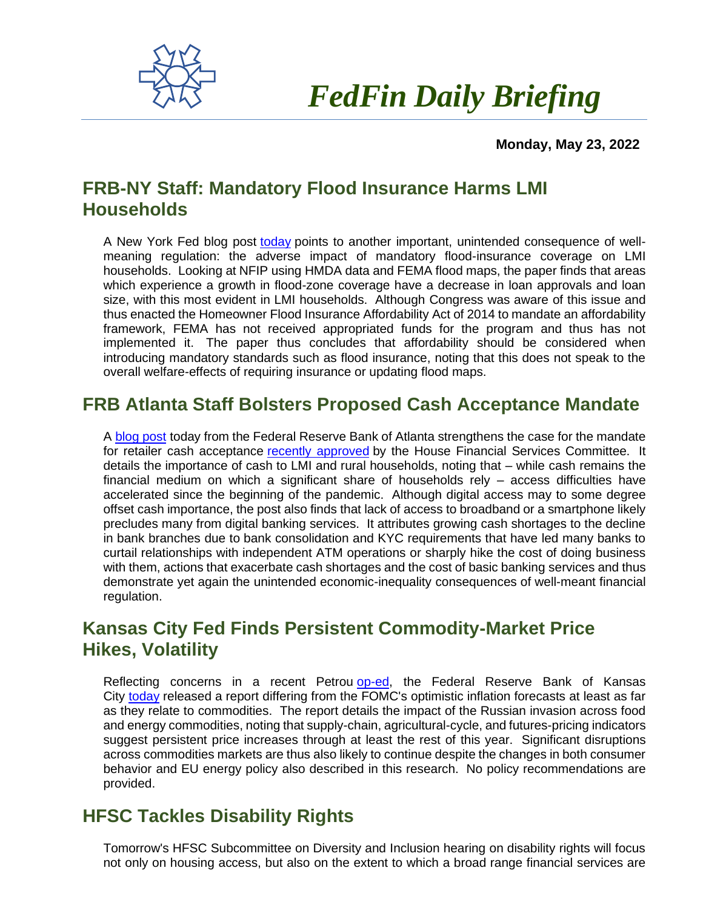

 *FedFin Daily Briefing*

 **Monday, May 23, 2022**

## **FRB-NY Staff: Mandatory Flood Insurance Harms LMI Households**

A New York Fed blog post [today](https://fedfin.us14.list-manage.com/track/click?u=27f886fdd4a438ee1dc1f0774&id=0c980cd16f&e=288b5ff9aa) points to another important, unintended consequence of wellmeaning regulation: the adverse impact of mandatory flood-insurance coverage on LMI households. Looking at NFIP using HMDA data and FEMA flood maps, the paper finds that areas which experience a growth in flood-zone coverage have a decrease in loan approvals and loan size, with this most evident in LMI households. Although Congress was aware of this issue and thus enacted the Homeowner Flood Insurance Affordability Act of 2014 to mandate an affordability framework, FEMA has not received appropriated funds for the program and thus has not implemented it. The paper thus concludes that affordability should be considered when introducing mandatory standards such as flood insurance, noting that this does not speak to the overall welfare-effects of requiring insurance or updating flood maps.

### **FRB Atlanta Staff Bolsters Proposed Cash Acceptance Mandate**

A [blog post](https://fedfin.us14.list-manage.com/track/click?u=27f886fdd4a438ee1dc1f0774&id=3d19963f6e&e=288b5ff9aa) today from the Federal Reserve Bank of Atlanta strengthens the case for the mandate for retailer cash acceptance [recently approved](https://fedfin.us14.list-manage.com/track/click?u=27f886fdd4a438ee1dc1f0774&id=073bb77e08&e=288b5ff9aa) by the House Financial Services Committee. It details the importance of cash to LMI and rural households, noting that – while cash remains the financial medium on which a significant share of households rely – access difficulties have accelerated since the beginning of the pandemic. Although digital access may to some degree offset cash importance, the post also finds that lack of access to broadband or a smartphone likely precludes many from digital banking services. It attributes growing cash shortages to the decline in bank branches due to bank consolidation and KYC requirements that have led many banks to curtail relationships with independent ATM operations or sharply hike the cost of doing business with them, actions that exacerbate cash shortages and the cost of basic banking services and thus demonstrate yet again the unintended economic-inequality consequences of well-meant financial regulation.

## **Kansas City Fed Finds Persistent Commodity-Market Price Hikes, Volatility**

Reflecting concerns in a recent Petrou [op-ed,](https://fedfin.us14.list-manage.com/track/click?u=27f886fdd4a438ee1dc1f0774&id=29ac27149e&e=288b5ff9aa) the Federal Reserve Bank of Kansas City [today](https://fedfin.us14.list-manage.com/track/click?u=27f886fdd4a438ee1dc1f0774&id=e73424457c&e=288b5ff9aa) released a report differing from the FOMC's optimistic inflation forecasts at least as far as they relate to commodities. The report details the impact of the Russian invasion across food and energy commodities, noting that supply-chain, agricultural-cycle, and futures-pricing indicators suggest persistent price increases through at least the rest of this year. Significant disruptions across commodities markets are thus also likely to continue despite the changes in both consumer behavior and EU energy policy also described in this research. No policy recommendations are provided.

### **HFSC Tackles Disability Rights**

Tomorrow's HFSC Subcommittee on Diversity and Inclusion hearing on disability rights will focus not only on housing access, but also on the extent to which a broad range financial services are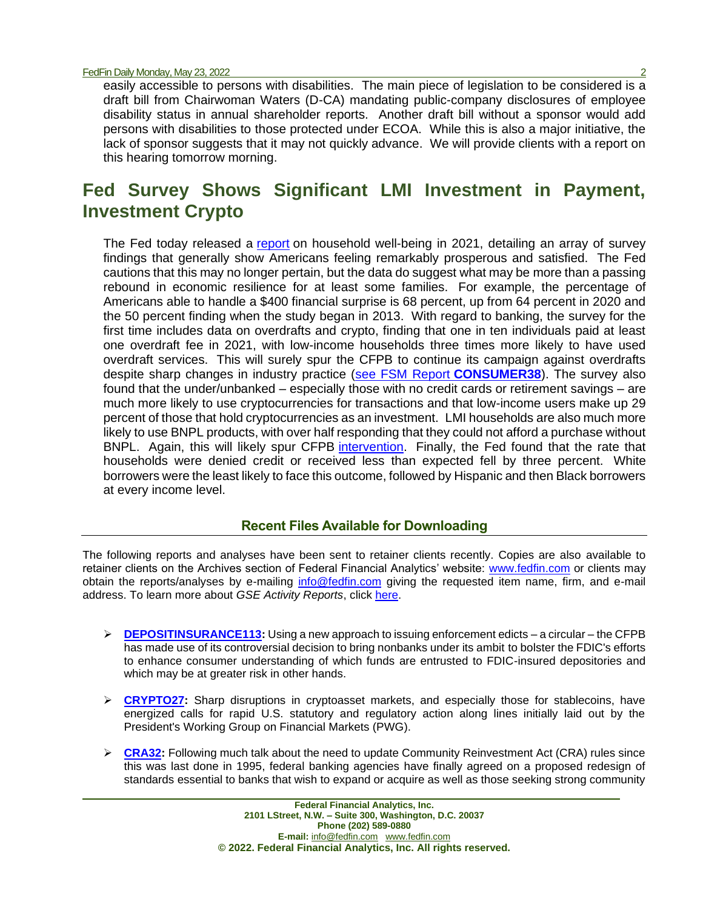easily accessible to persons with disabilities. The main piece of legislation to be considered is a draft bill from Chairwoman Waters (D-CA) mandating public-company disclosures of employee disability status in annual shareholder reports. Another draft bill without a sponsor would add persons with disabilities to those protected under ECOA. While this is also a major initiative, the lack of sponsor suggests that it may not quickly advance. We will provide clients with a report on this hearing tomorrow morning.

# **Fed Survey Shows Significant LMI Investment in Payment, Investment Crypto**

The Fed today released a [report](https://fedfin.us14.list-manage.com/track/click?u=27f886fdd4a438ee1dc1f0774&id=72cfcdd913&e=288b5ff9aa) on household well-being in 2021, detailing an array of survey findings that generally show Americans feeling remarkably prosperous and satisfied. The Fed cautions that this may no longer pertain, but the data do suggest what may be more than a passing rebound in economic resilience for at least some families. For example, the percentage of Americans able to handle a \$400 financial surprise is 68 percent, up from 64 percent in 2020 and the 50 percent finding when the study began in 2013. With regard to banking, the survey for the first time includes data on overdrafts and crypto, finding that one in ten individuals paid at least one overdraft fee in 2021, with low-income households three times more likely to have used overdraft services. This will surely spur the CFPB to continue its campaign against overdrafts despite sharp changes in industry practice [\(see FSM Report](https://fedfin.us14.list-manage.com/track/click?u=27f886fdd4a438ee1dc1f0774&id=188eb2d3d4&e=288b5ff9aa) **CONSUMER38**). The survey also found that the under/unbanked – especially those with no credit cards or retirement savings – are much more likely to use cryptocurrencies for transactions and that low-income users make up 29 percent of those that hold cryptocurrencies as an investment. LMI households are also much more likely to use BNPL products, with over half responding that they could not afford a purchase without BNPL. Again, this will likely spur CFPB [intervention.](https://fedfin.us14.list-manage.com/track/click?u=27f886fdd4a438ee1dc1f0774&id=94fa798594&e=288b5ff9aa) Finally, the Fed found that the rate that households were denied credit or received less than expected fell by three percent. White borrowers were the least likely to face this outcome, followed by Hispanic and then Black borrowers at every income level.

#### **Recent Files Available for Downloading**

The following reports and analyses have been sent to retainer clients recently. Copies are also available to retainer clients on the Archives section of Federal Financial Analytics' website: [www.fedfin.com](http://www.fedfin.com/) or clients may obtain the reports/analyses by e-mailing [info@fedfin.com](mailto:info@fedfin.com) giving the requested item name, firm, and e-mail address. To learn more about *GSE Activity Reports*, click [here.](https://fedfin.com/gse-activity-report/)

- ➢ **[DEPOSITINSURANCE113:](https://fedfin.com/wp-content/uploads/2022/05/DEPOSITINSURANCE113.pdf)** Using a new approach to issuing enforcement edicts a circular the CFPB has made use of its controversial decision to bring nonbanks under its ambit to bolster the FDIC's efforts to enhance consumer understanding of which funds are entrusted to FDIC-insured depositories and which may be at greater risk in other hands.
- ➢ **[CRYPTO27:](https://fedfin.com/wp-content/uploads/2022/05/CRYPTO27.pdf)** Sharp disruptions in cryptoasset markets, and especially those for stablecoins, have energized calls for rapid U.S. statutory and regulatory action along lines initially laid out by the President's Working Group on Financial Markets (PWG).
- ➢ **[CRA32:](https://fedfin.com/wp-content/uploads/2022/05/CRA32.pdf)** Following much talk about the need to update Community Reinvestment Act (CRA) rules since this was last done in 1995, federal banking agencies have finally agreed on a proposed redesign of standards essential to banks that wish to expand or acquire as well as those seeking strong community